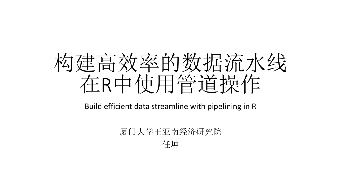

Build efficient data streamline with pipelining in R

#### 厦门大学王亚南经济研究院 任坤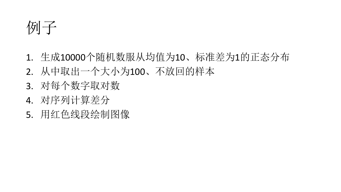例子

- 1. 生成10000个随机数服从均值为10、标准差为1的正态分布
- 2. 从中取出一个大小为100、不放回的样本
- 3. 对每个数字取对数
- 4. 对序列计算差分
- 5. 用红色线段绘制图像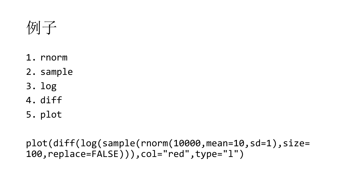例子

- 1. rnorm
- 2. sample
- 3. log
- 4. diff
- 5. plot

plot(diff(log(sample(rnorm(10000,mean=10,sd=1),size= 100,replace=FALSE))),col="red",type="l")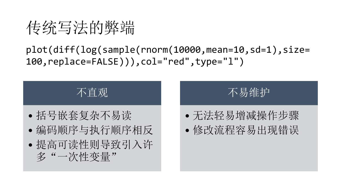传统写法的弊端

plot(diff(log(sample(rnorm(10000,mean=10,sd=1),size= 100,replace=FALSE))),col="red",type="l")



不易维护

- 无法轻易增减操作步骤
- 修改流程容易出现错误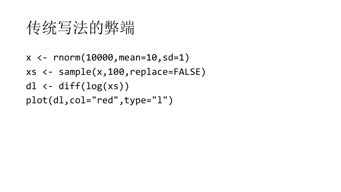#### 传统写法的弊端

 $x$  <-  $rnorm(10000,mean=10, sd=1)$ xs <- sample(x,100,replace=FALSE) dl  $\leftarrow$  diff $(log(xs))$ plot(dl,col="red",type="l")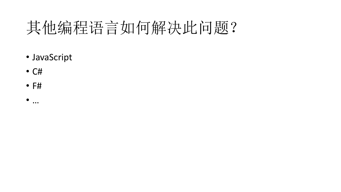# 其他编程语言如何解决此问题?

- JavaScript
- C#
- F#
- $\bullet$  …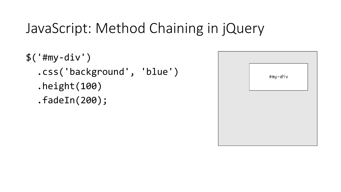#### JavaScript: Method Chaining in jQuery

 $$('#my-div')$ .css('background', 'blue') .height(100) .fadeIn(200);

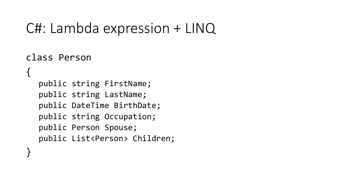#### C#: Lambda expression + LINQ

```
class Person
{
  public string FirstName;
  public string LastName;
  public DateTime BirthDate;
  public string Occupation;
  public Person Spouse;
  public List<Person> Children;
}
```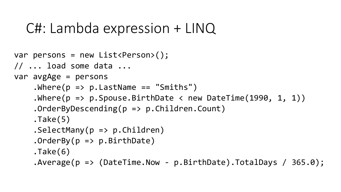#### C#: Lambda expression + LINQ

```
var persons = new List<Person>();
// ... load some data ...
var avgAge = persons
    .Where(p \Rightarrow p.LastName == "Smiths")
    .Where(p \Rightarrow p. Spouse.BirthDate < new DateTime(1990, 1, 1))
    .OrderByDescending(p => p.Children.Count)
    .Take(5)
    .SelectMany(p => p.Children)
    .OrderBy(p \Rightarrow p.BirthDate)
    .Take(6)
    .Average(p \Rightarrow (DateTime.Now - p.BirthDate).TotalDays / 365.0);
```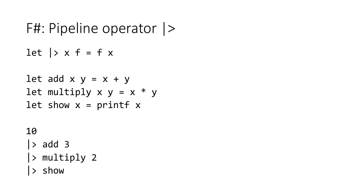# F#: Pipeline operator |>

let  $\vert x \rangle$  x f = f x

let add 
$$
x
$$
  $y = x + y$ 

\nlet multiply  $x$   $y = x * y$ 

\nlet show  $x = print + x$ 

#### 10

- $\vert$  > add 3
- |> multiply 2
- |> show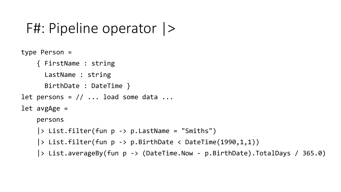#### F#: Pipeline operator |>

```
type Person =
    { FirstName : string
      LastName : string
      BirthDate : DateTime }
let persons = // ... load some data ...
let avgAge =
    persons 
    |> List.filter(fun p -> p.LastName = "Smiths")
    |> List.filter(fun p -> p.BirthDate < DateTime(1990,1,1))
    |> List.averageBy(fun p -> (DateTime.Now - p.BirthDate).TotalDays / 365.0)
```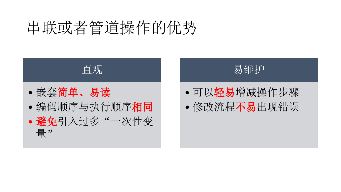## 串联或者管道操作的优势



- 
- 编码顺序与执行顺序相同 • 避免引入过多"一次性变

量"

易维护

- 可以轻易增减操作步骤
- 修改流程不易出现错误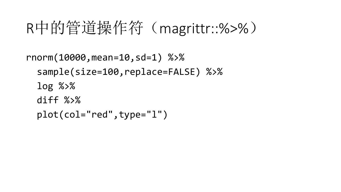#### R中的管道操作符(magrittr::%>%)

```
rnorm(10000,mean=10,sd=1) %>%
 sample(size=100,replace=FALSE) %>%
 log %>%
 diff %>%
 plot(col="red",type="l")
```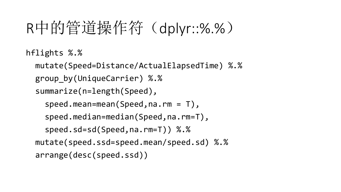## R中的管道操作符(dplyr::%.%)

```
hflights %.%
```

```
mutate(Speed=Distance/ActualElapsedTime) %.%
group_by(UniqueCarrier) %.%
summarize(n=length(Speed),
  speed.mean=mean(Speed,na.rm = T),
  speed.median=median(Speed,na.rm=T),
  speed.sd=sd(Speed,na.rm=T)) %.%
mutate(speed.ssd=speed.mean/speed.sd) %.%
arrange(desc(speed.ssd))
```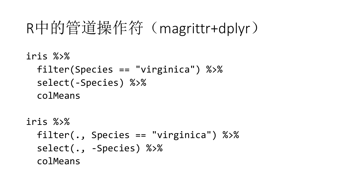#### R中的管道操作符(magrittr+dplyr)

iris %>% filter(Species == "virginica") %>% select(-Species) %>% colMeans

```
iris %>%
 filter(., Species == "virginica") %>%
 select(., -Species) %>%
  colMeans
```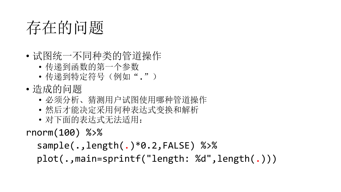#### 存在的问题

- 试图统一不同种类的管道操作
	- 传递到函数的第一个参数
	- 传递到特定符号(例如".")
- 造成的问题
	- 必须分析、猜测用户试图使用哪种管道操作
	- 然后才能决定采用何种表达式变换和解析
	- 对下面的表达式无法适用:

rnorm(100) %>%

```
sample(.,length(.)*0.2,FALSE) %>%
plot(.,main=sprintf("length: %d",length(.)))
```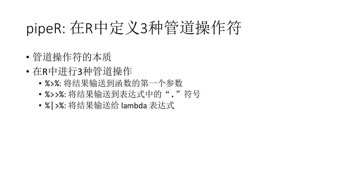# pipeR: 在R中定义3种管道操作符

- 管道操作符的本质
- 在R中进行3种管道操作
	- %>%: 将结果输送到函数的第一个参数
	- %>>%: 将结果输送到表达式中的"."符号
	- %|>%: 将结果输送给 lambda 表达式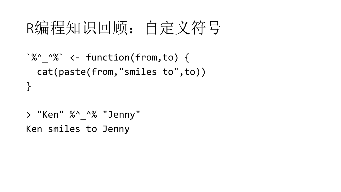## R编程知识回顾: 自定义符号

```
^{\circ}%^ ^{\prime}%^{\circ} <- function(from,to) {
  cat(paste(from,"smiles to",to))
}
```

```
> "Ken" %^ ^% "Jenny"
Ken smiles to Jenny
```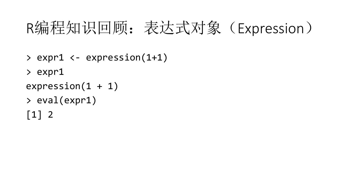# R编程知识回顾:表达式对象(Expression)

- > expr1 <- expression(1+1)
- > expr1
- $expression(1 + 1)$
- > eval(expr1)
- $\lceil 1 \rceil$  2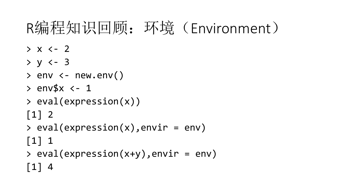## R编程知识回顾: 环境 (Environment)

- $> x < -2$
- $> y < -3$
- $>$  env  $<-$  new.env()
- $>$  env\$x  $<-1$
- > eval(expression(x))
- $\lceil 1 \rceil$  2
- > eval(expression(x),envir = env)
- $\lceil 1 \rceil$  1
- > eval(expression(x+y),envir = env)  $\lceil 1 \rceil$  4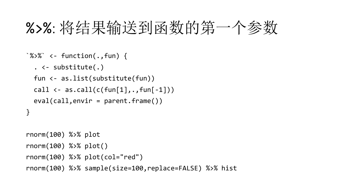#### %>%: 将结果输送到函数的第一个参数

```
^{\circ}%>%^{\circ} <- function(.,fun) {
  . <- substitute(.)
  fun <- as.list(substitute(fun))
  call \leftarrow as.call(c(fun[1],.,fun[-1]))
  eval(call,envir = parent.Fname())}
```

```
rnorm(100) %>% plot
rnorm(100) %>% plot()
rnorm(100) %>% plot(col="red")
rnorm(100) %>% sample(size=100,replace=FALSE) %>% hist
```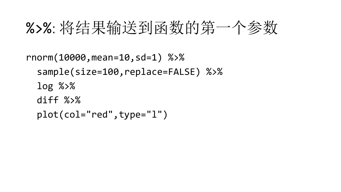#### %>%: 将结果输送到函数的第一个参数

```
rnorm(10000,mean=10,sd=1) %>%
 sample(size=100,replace=FALSE) %>%
 log %>%
 diff %>%
 plot(col="red",type="l")
```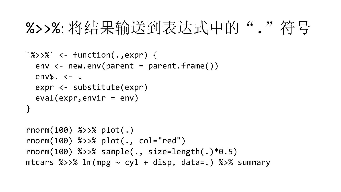#### %>%: 将结果输送到表达式中的"."符号

```
^{\circ}%>>%` <- function(.,expr) {
  env \langle - new.env(parent = parent.frame())
  env$. <- .
  expr <- substitute(expr)
  eval(exp,envir = env)}<br>}
rnorm(100) %>>% plot(.)
rnorm(100) %>>% plot(., col="red")
```

```
rnorm(100) %>>% sample(., size=length(.)*0.5)
mtcars %>>% lm(mpg \sim cyl + disp, data=.) %>% summary
```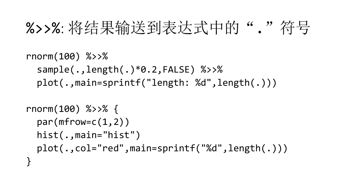## %>%: 将结果输送到表达式中的","符号

rnorm(100) %>>% sample(.,length(.)\*0.2,FALSE) %>>% plot(.,main=sprintf("length: %d",length(.)))

rnorm(100) %>>% { par(mfrow=c(1,2)) hist(.,main="hist") plot(.,col="red",main=sprintf("%d",length(.))) }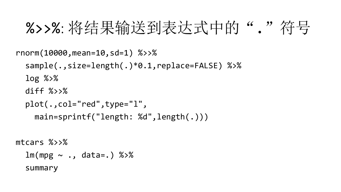#### %>%: 将结果输送到表达式中的"."符号

```
rnorm(10000,mean=10,sd=1) %>>%
  sample(.,size=length(.)*0.1,replace=FALSE) %>%
  log %>%
  diff \frac{\%}{\%}plot(.,col="red",type="l",
    main=sprintf("length: %d",length(.)))
```

```
mtcars %>>%
  lm(mpg \sim ., data=.) %>%
  summary
```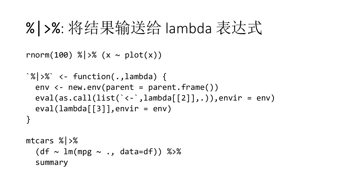#### %|>%: 将结果输送给 lambda 表达式

```
rnorm(100) %|> (x ~ plot(x))
```

```
^{\circ}\% > \%^{\circ} <- function(., lambda) {
  env \langle - new.env(parent = parent.frame())
  eval(as.call(list('<-',lambda[[2]], .)), envir = env)eval(lambda[[3]],envir = env)}
```

```
mtcars %|>%
  (df ~sim 1m(mpg ~sim ., data=df)) %summary
```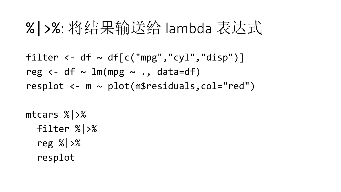#### %|>%: 将结果输送给 lambda 表达式

```
filter \leftarrow df \sim df[c("mpg","cyl","disp")]
reg \leftarrow df \sim lm(mpg \sim ., data=df)
resplot <- m ~ plot(m$residuals,col="red")
```
mtcars %|>% filter %|>% reg %|>% resplot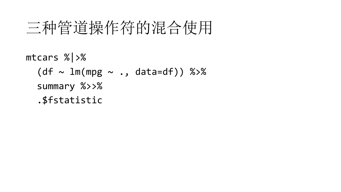#### 三种管道操作符的混合使用

#### mtcars %|>%  $(df ~sim 1m(mpg ~sim ., data=df)) %$ summary %>>% .\$fstatistic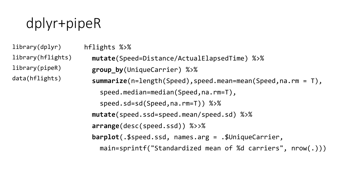#### dplyr+pipeR

library(dplyr) library(hflights) library(pipeR) data(hflights)

```
hflights %>%
 mutate(Speed=Distance/ActualElapsedTime) %>%
 group_by(UniqueCarrier) %>%
  summarize(n=length(Speed),speed.mean=mean(Speed,na.rm = T),
    speed.median=median(Speed,na.rm=T),
    speed.sd=sd(Speed,na.rm=T)) %>%
 mutate(speed.ssd=speed.mean/speed.sd) %>%
  arrange(desc(speed.ssd)) %>>%
  barplot(.$speed.ssd, names.arg = .$UniqueCarrier,
   main=sprintf("Standardized mean of %d carriers", nrow(.)))
```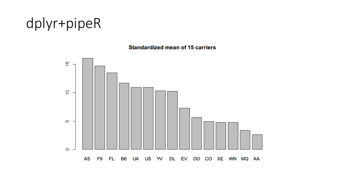#### dplyr+pipeR

#### **Standardized mean of 15 carriers**

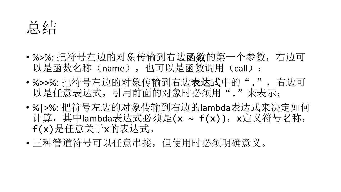总结

- %>%: 把符号左边的对象传输到右边函数的第一个参数, 右边可 以是函数名称(name),也可以是函数调用(call);
- %>>%: 把符号左边的对象传输到右边**表达式**中的".", 右边可 以是任意表达式,引用前面的对象时必须用"."来表示;
- %|>%: 把符号左边的对象传输到右边的lambda表达式来决定如何 计算,其中lambda表达式必须是(x ~ f(x)), x定义符号名称, f(x)是任意关于x的表达式。
- 三种管道符号可以任意串接,但使用时必须明确意义。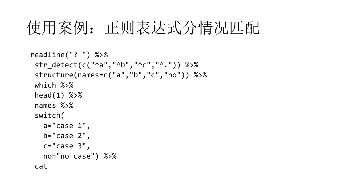# 使用案例: 正则表达式分情况匹配

```
readline("? ") %>%
str_detect(c("^a","^b","^c","^.")) %>%
structure(names=c("a","b","c","no")) %>%
which %>%
head(1) %>%
names %>%
switch(
  a="case 1",b="case 2",c="Case 3",no="no case") %>%
cat
```